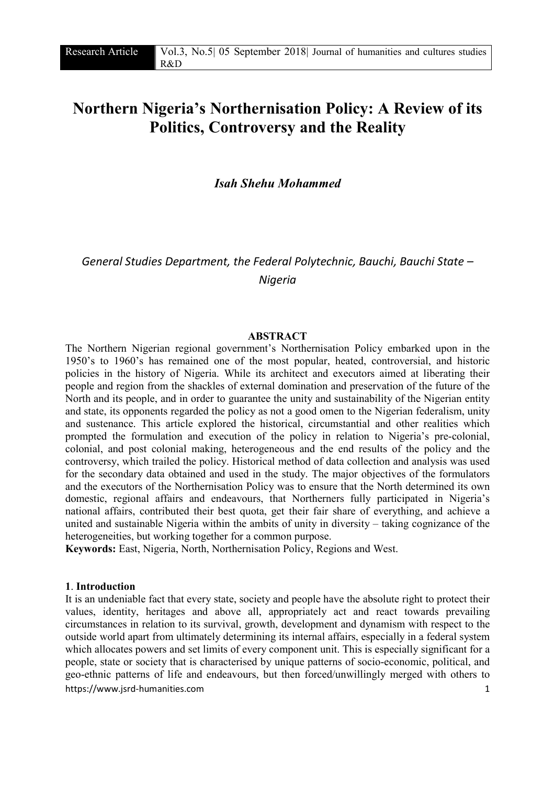# Northern Nigeria's Northernisation Policy: A Review of its Politics, Controversy and the Reality

*Isah Shehu Mohammed*

*General Studies Department, the Federal Polytechnic, Bauchi, Bauchi State – Nigeria*

### ABSTRACT

The Northern Nigerian regional government's Northernisation Policy embarked upon in the 1950's to 1960's has remained one of the most popular, heated, controversial, and historic policies in the history of Nigeria. While its architect and executors aimed at liberating their people and region from the shackles of external domination and preservation of the future of the North and its people, and in order to guarantee the unity and sustainability of the Nigerian entity and state, its opponents regarded the policy as not a good omen to the Nigerian federalism, unity and sustenance. This article explored the historical, circumstantial and other realities which prompted the formulation and execution of the policy in relation to Nigeria's pre-colonial, colonial, and post colonial making, heterogeneous and the end results of the policy and the controversy, which trailed the policy. Historical method of data collection and analysis was used for the secondary data obtained and used in the study. The major objectives of the formulators and the executors of the Northernisation Policy was to ensure that the North determined its own domestic, regional affairs and endeavours, that Northerners fully participated in Nigeria's national affairs, contributed their best quota, get their fair share of everything, and achieve a united and sustainable Nigeria within the ambits of unity in diversity – taking cognizance of the heterogeneities, but working together for a common purpose.

Keywords: East, Nigeria, North, Northernisation Policy, Regions and West.

#### 1. Introduction

https://www.isrd-humanities.com 1 It is an undeniable fact that every state, society and people have the absolute right to protect their values, identity, heritages and above all, appropriately act and react towards prevailing circumstances in relation to its survival, growth, development and dynamism with respect to the outside world apart from ultimately determining its internal affairs, especially in a federal system which allocates powers and set limits of every component unit. This is especially significant for a people, state or society that is characterised by unique patterns of socio-economic, political, and geo-ethnic patterns of life and endeavours, but then forced/unwillingly merged with others to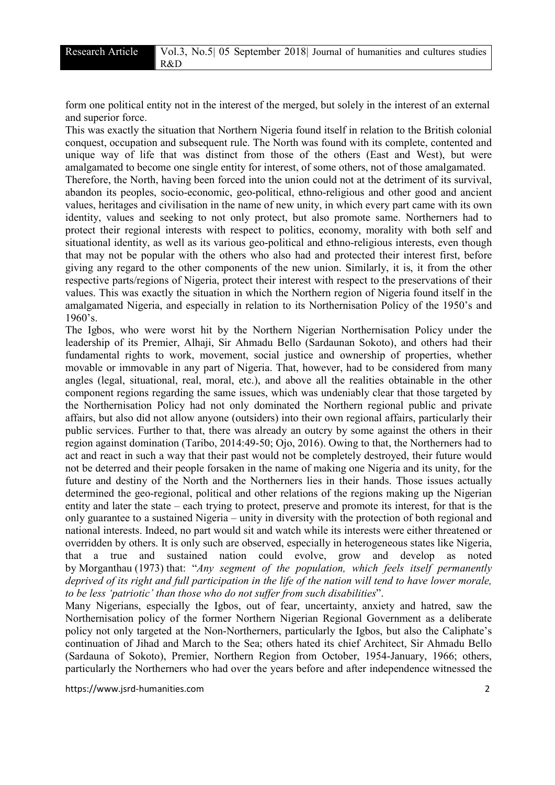form one political entity not in the interest of the merged, but solely in the interest of an external and superior force.

This was exactly the situation that Northern Nigeria found itself in relation to the British colonial conquest, occupation and subsequent rule. The North was found with its complete, contented and unique way of life that was distinct from those of the others (East and West), but were amalgamated to become one single entity for interest, of some others, not of those amalgamated. Therefore, the North, having been forced into the union could not at the detriment of its survival, abandon its peoples, socio-economic, geo-political, ethno-religious and other good and ancient values, heritages and civilisation in the name of new unity, in which every part came with its own identity, values and seeking to not only protect, but also promote same. Northerners had to protect their regional interests with respect to politics, economy, morality with both self and situational identity, as well as its various geo-political and ethno-religious interests, even though that may not be popular with the others who also had and protected their interest first, before giving any regard to the other components of the new union. Similarly, it is, it from the other respective parts/regions of Nigeria, protect their interest with respect to the preservations of their values. This was exactly the situation in which the Northern region of Nigeria found itself in the amalgamated Nigeria, and especially in relation to its Northernisation Policy of the 1950's and 1960's.

The Igbos, who were worst hit by the Northern Nigerian Northernisation Policy under the leadership of its Premier, Alhaji, Sir Ahmadu Bello (Sardaunan Sokoto), and others had their fundamental rights to work, movement, social justice and ownership of properties, whether movable or immovable in any part of Nigeria. That, however, had to be considered from many angles (legal, situational, real, moral, etc.), and above all the realities obtainable in the other component regions regarding the same issues, which was undeniably clear that those targeted by the Northernisation Policy had not only dominated the Northern regional public and private affairs, but also did not allow anyone (outsiders) into their own regional affairs, particularly their public services. Further to that, there was already an outcry by some against the others in their region against domination (Taribo, 2014:49-50; Ojo, 2016). Owing to that, the Northerners had to act and react in such a way that their past would not be completely destroyed, their future would not be deterred and their people forsaken in the name of making one Nigeria and its unity, for the future and destiny of the North and the Northerners lies in their hands. Those issues actually determined the geo-regional, political and other relations of the regions making up the Nigerian entity and later the state – each trying to protect, preserve and promote its interest, for that is the only guarantee to a sustained Nigeria – unity in diversity with the protection of both regional and national interests. Indeed, no part would sit and watch while its interests were either threatened or overridden by others. It is only such are observed, especially in heterogeneous states like Nigeria, that a true and sustained nation could evolve, grow and develop as noted by Morganthau (1973) that: "*Any segment of the population, which feels itself permanently deprived of its right and full participation in the life of the nation will tend to have lower morale, to be less 'patriotic' than those who do not suffer from such disabilities*".

Many Nigerians, especially the Igbos, out of fear, uncertainty, anxiety and hatred, saw the Northernisation policy of the former Northern Nigerian Regional Government as a deliberate policy not only targeted at the Non-Northerners, particularly the Igbos, but also the Caliphate's continuation of Jihad and March to the Sea; others hated its chief Architect, Sir Ahmadu Bello (Sardauna of Sokoto), Premier, Northern Region from October, 1954-January, 1966; others, particularly the Northerners who had over the years before and after independence witnessed the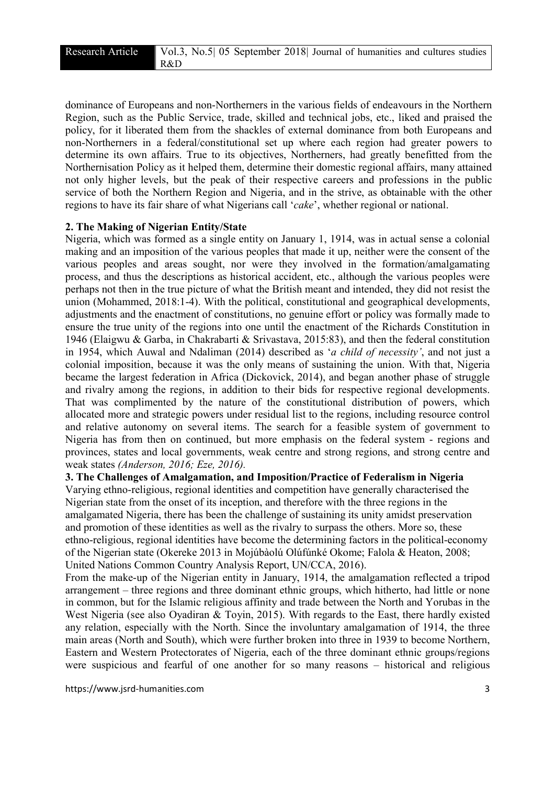dominance of Europeans and non-Northerners in the various fields of endeavours in the Northern Region, such as the Public Service, trade, skilled and technical jobs, etc., liked and praised the policy, for it liberated them from the shackles of external dominance from both Europeans and non-Northerners in a federal/constitutional set up where each region had greater powers to determine its own affairs. True to its objectives, Northerners, had greatly benefitted from the Northernisation Policy as it helped them, determine their domestic regional affairs, many attained not only higher levels, but the peak of their respective careers and professions in the public service of both the Northern Region and Nigeria, and in the strive, as obtainable with the other regions to have its fair share of what Nigerians call '*cake*', whether regional or national.

### 2. The Making of Nigerian Entity/State

Nigeria, which was formed as a single entity on January 1, 1914, was in actual sense a colonial making and an imposition of the various peoples that made it up, neither were the consent of the various peoples and areas sought, nor were they involved in the formation/amalgamating process, and thus the descriptions as historical accident, etc., although the various peoples were perhaps not then in the true picture of what the British meant and intended, they did not resist the union (Mohammed, 2018:1-4). With the political, constitutional and geographical developments, adjustments and the enactment of constitutions, no genuine effort or policy was formally made to ensure the true unity of the regions into one until the enactment of the Richards Constitution in 1946 (Elaigwu & Garba, in Chakrabarti & Srivastava, 2015:83), and then the federal constitution in 1954, which Auwal and Ndaliman (2014) described as '*a child of necessity'*, and not just a colonial imposition, because it was the only means of sustaining the union. With that, Nigeria became the largest federation in Africa (Dickovick, 2014), and began another phase of struggle and rivalry among the regions, in addition to their bids for respective regional developments. That was complimented by the nature of the constitutional distribution of powers, which allocated more and strategic powers under residual list to the regions, including resource control and relative autonomy on several items. The search for a feasible system of government to Nigeria has from then on continued, but more emphasis on the federal system - regions and provinces, states and local governments, weak centre and strong regions, and strong centre and weak states *(Anderson, 2016; Eze, 2016).*

3. The Challenges of Amalgamation, and Imposition/Practice of Federalism in Nigeria Varying ethno-religious, regional identities and competition have generally characterised the Nigerian state from the onset of its inception, and therefore with the three regions in the amalgamated Nigeria, there has been the challenge of sustaining its unity amidst preservation and promotion of these identities as well as the rivalry to surpass the others. More so, these ethno-religious, regional identities have become the determining factors in the political-economy of the Nigerian state (Okereke 2013 in Mojúbàolú Olúfúnké Okome; Falola & Heaton, 2008; United Nations Common Country Analysis Report, UN/CCA, 2016).

From the make-up of the Nigerian entity in January, 1914, the amalgamation reflected a tripod arrangement – three regions and three dominant ethnic groups, which hitherto, had little or none in common, but for the Islamic religious affinity and trade between the North and Yorubas in the West Nigeria (see also Oyadiran & Toyin, 2015). With regards to the East, there hardly existed any relation, especially with the North. Since the involuntary amalgamation of 1914, the three main areas (North and South), which were further broken into three in 1939 to become Northern, Eastern and Western Protectorates of Nigeria, each of the three dominant ethnic groups/regions were suspicious and fearful of one another for so many reasons – historical and religious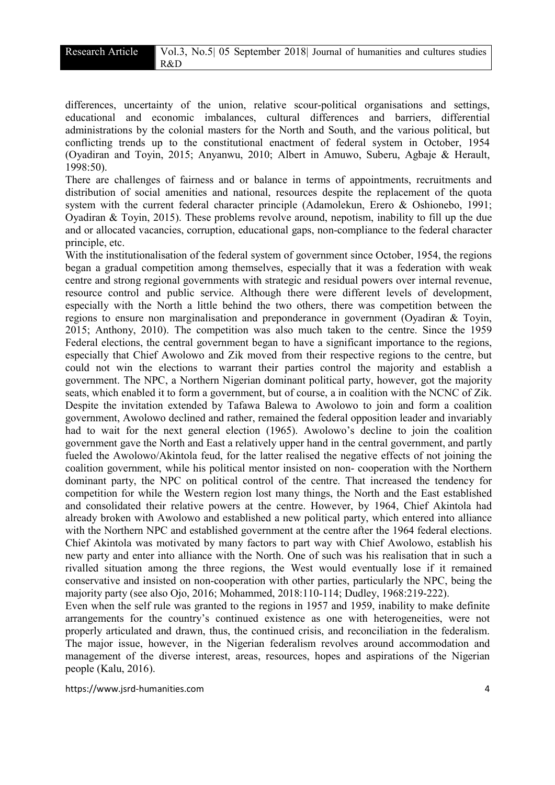differences, uncertainty of the union, relative scour-political organisations and settings, educational and economic imbalances, cultural differences and barriers, differential administrations by the colonial masters for the North and South, and the various political, but conflicting trends up to the constitutional enactment of federal system in October, 1954 (Oyadiran and Toyin, 2015; Anyanwu, 2010; Albert in Amuwo, Suberu, Agbaje & Herault, 1998:50).

There are challenges of fairness and or balance in terms of appointments, recruitments and distribution of social amenities and national, resources despite the replacement of the quota system with the current federal character principle (Adamolekun, Erero & Oshionebo, 1991; Oyadiran & Toyin, 2015). These problems revolve around, nepotism, inability to fill up the due and or allocated vacancies, corruption, educational gaps, non-compliance to the federal character principle, etc.

With the institutionalisation of the federal system of government since October, 1954, the regions began a gradual competition among themselves, especially that it was a federation with weak centre and strong regional governments with strategic and residual powers over internal revenue, resource control and public service. Although there were different levels of development, especially with the North a little behind the two others, there was competition between the regions to ensure non marginalisation and preponderance in government (Oyadiran & Toyin, 2015; Anthony, 2010). The competition was also much taken to the centre. Since the 1959 Federal elections, the central government began to have a significant importance to the regions, especially that Chief Awolowo and Zik moved from their respective regions to the centre, but could not win the elections to warrant their parties control the majority and establish a government. The NPC, a Northern Nigerian dominant political party, however, got the majority seats, which enabled it to form a government, but of course, a in coalition with the NCNC of Zik. Despite the invitation extended by Tafawa Balewa to Awolowo to join and form a coalition government, Awolowo declined and rather, remained the federal opposition leader and invariably had to wait for the next general election (1965). Awolowo's decline to join the coalition government gave the North and East a relatively upper hand in the central government, and partly fueled the Awolowo/Akintola feud, for the latter realised the negative effects of not joining the coalition government, while his political mentor insisted on non- cooperation with the Northern dominant party, the NPC on political control of the centre. That increased the tendency for competition for while the Western region lost many things, the North and the East established and consolidated their relative powers at the centre. However, by 1964, Chief Akintola had already broken with Awolowo and established a new political party, which entered into alliance with the Northern NPC and established government at the centre after the 1964 federal elections. Chief Akintola was motivated by many factors to part way with Chief Awolowo, establish his new party and enter into alliance with the North. One of such was his realisation that in such a rivalled situation among the three regions, the West would eventually lose if it remained conservative and insisted on non-cooperation with other parties, particularly the NPC, being the majority party (see also Ojo, 2016; Mohammed, 2018:110-114; Dudley, 1968:219-222).

Even when the self rule was granted to the regions in 1957 and 1959, inability to make definite arrangements for the country's continued existence as one with heterogeneities, were not properly articulated and drawn, thus, the continued crisis, and reconciliation in the federalism. The major issue, however, in the Nigerian federalism revolves around accommodation and management of the diverse interest, areas, resources, hopes and aspirations of the Nigerian people (Kalu, 2016).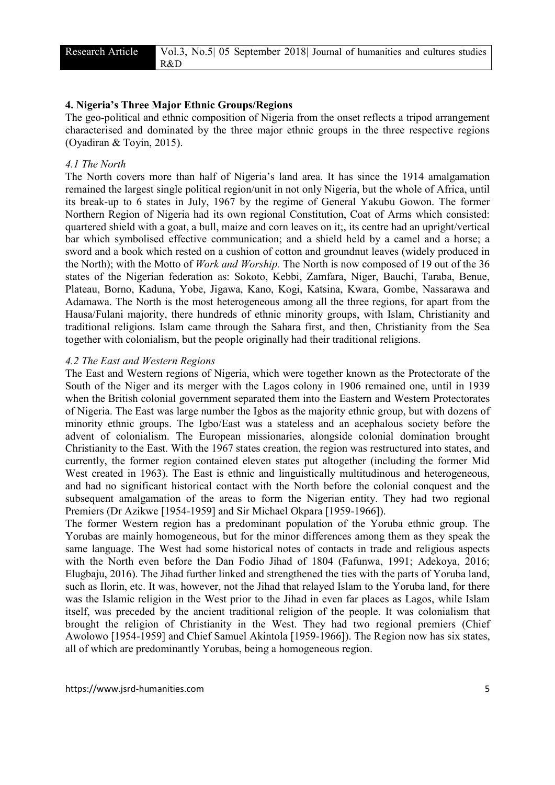## 4. Nigeria's Three Major Ethnic Groups/Regions

The geo-political and ethnic composition of Nigeria from the onset reflects a tripod arrangement characterised and dominated by the three major ethnic groups in the three respective regions (Oyadiran & Toyin, 2015).

#### *4.1 The North*

The North covers more than half of Nigeria's land area. It has since the 1914 amalgamation remained the largest single political region/unit in not only Nigeria, but the whole of Africa, until its break-up to 6 states in July, 1967 by the regime of General Yakubu Gowon. The former Northern Region of Nigeria had its own regional Constitution, Coat of Arms which consisted: quartered shield with a goat, a bull, maize and corn leaves on it;, its centre had an upright/vertical bar which symbolised effective communication; and a shield held by a camel and a horse; a sword and a book which rested on a cushion of cotton and groundnut leaves (widely produced in the North); with the Motto of *Work and Worship.* The North is now composed of 19 out of the 36 states of the Nigerian federation as: Sokoto, Kebbi, Zamfara, Niger, Bauchi, Taraba, Benue, Plateau, Borno, Kaduna, Yobe, Jigawa, Kano, Kogi, Katsina, Kwara, Gombe, Nassarawa and Adamawa. The North is the most heterogeneous among all the three regions, for apart from the Hausa/Fulani majority, there hundreds of ethnic minority groups, with Islam, Christianity and traditional religions. Islam came through the Sahara first, and then, Christianity from the Sea together with colonialism, but the people originally had their traditional religions.

#### *4.2 The East and Western Regions*

The East and Western regions of Nigeria, which were together known as the Protectorate of the South of the Niger and its merger with the Lagos colony in 1906 remained one, until in 1939 when the British colonial government separated them into the Eastern and Western Protectorates of Nigeria. The East was large number the Igbos as the majority ethnic group, but with dozens of minority ethnic groups. The Igbo/East was a stateless and an acephalous society before the advent of colonialism. The European missionaries, alongside colonial domination brought Christianity to the East. With the 1967 states creation, the region was restructured into states, and currently, the former region contained eleven states put altogether (including the former Mid West created in 1963). The East is ethnic and linguistically multitudinous and heterogeneous, and had no significant historical contact with the North before the colonial conquest and the subsequent amalgamation of the areas to form the Nigerian entity. They had two regional Premiers (Dr Azikwe [1954-1959] and Sir Michael Okpara [1959-1966]).

The former Western region has a predominant population of the Yoruba ethnic group. The Yorubas are mainly homogeneous, but for the minor differences among them as they speak the same language. The West had some historical notes of contacts in trade and religious aspects with the North even before the Dan Fodio Jihad of 1804 (Fafunwa, 1991; Adekoya, 2016; Elugbaju, 2016). The Jihad further linked and strengthened the ties with the parts of Yoruba land, such as Ilorin, etc. It was, however, not the Jihad that relayed Islam to the Yoruba land, for there was the Islamic religion in the West prior to the Jihad in even far places as Lagos, while Islam itself, was preceded by the ancient traditional religion of the people. It was colonialism that brought the religion of Christianity in the West. They had two regional premiers (Chief Awolowo [1954-1959] and Chief Samuel Akintola [1959-1966]). The Region now has six states, all of which are predominantly Yorubas, being a homogeneous region.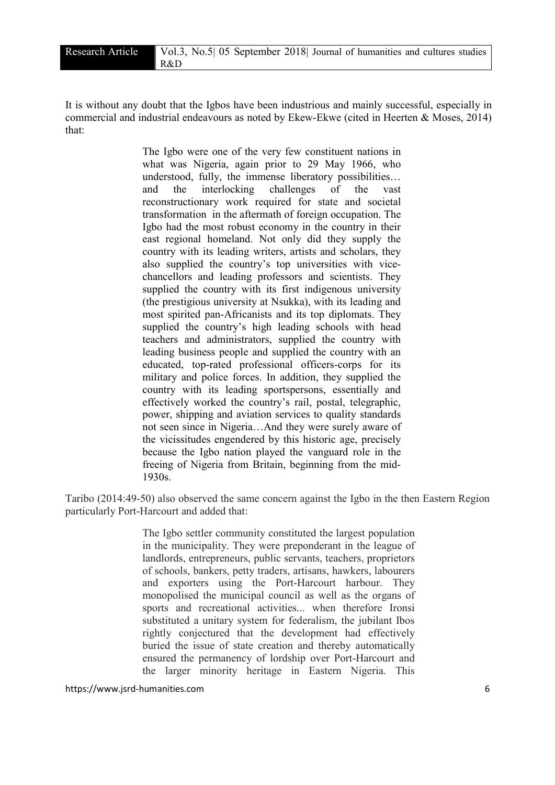It is without any doubt that the Igbos have been industrious and mainly successful, especially in commercial and industrial endeavours as noted by Ekew-Ekwe (cited in Heerten & Moses, 2014) that:

> The Igbo were one of the very few constituent nations in what was Nigeria, again prior to 29 May 1966, who understood, fully, the immense liberatory possibilities… and the interlocking challenges of the vast reconstructionary work required for state and societal transformation in the aftermath of foreign occupation. The Igbo had the most robust economy in the country in their east regional homeland. Not only did they supply the country with its leading writers, artists and scholars, they also supplied the country's top universities with vicechancellors and leading professors and scientists. They supplied the country with its first indigenous university (the prestigious university at Nsukka), with its leading and most spirited pan-Africanists and its top diplomats. They supplied the country's high leading schools with head teachers and administrators, supplied the country with leading business people and supplied the country with an educated, top-rated professional officers-corps for its military and police forces. In addition, they supplied the country with its leading sportspersons, essentially and effectively worked the country's rail, postal, telegraphic, power, shipping and aviation services to quality standards not seen since in Nigeria…And they were surely aware of the vicissitudes engendered by this historic age, precisely because the Igbo nation played the vanguard role in the freeing of Nigeria from Britain, beginning from the mid-1930s.

Taribo (2014:49-50) also observed the same concern against the Igbo in the then Eastern Region particularly Port-Harcourt and added that:

> The Igbo settler community constituted the largest population in the municipality. They were preponderant in the league of landlords, entrepreneurs, public servants, teachers, proprietors of schools, bankers, petty traders, artisans, hawkers, labourers and exporters using the Port-Harcourt harbour. They monopolised the municipal council as well as the organs of sports and recreational activities... when therefore Ironsi substituted a unitary system for federalism, the jubilant Ibos rightly conjectured that the development had effectively buried the issue of state creation and thereby automatically ensured the permanency of lordship over Port-Harcourt and the larger minority heritage in Eastern Nigeria. This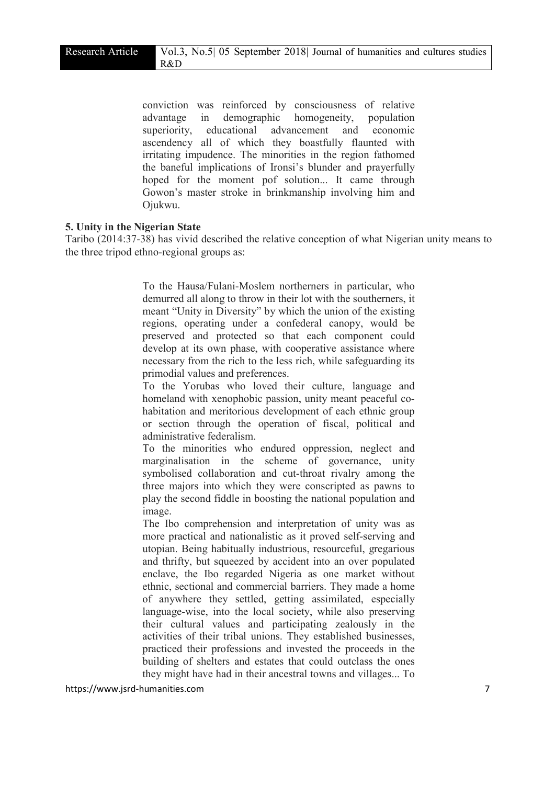conviction was reinforced by consciousness of relative advantage in demographic homogeneity, population superiority, educational advancement and economic ascendency all of which they boastfully flaunted with irritating impudence. The minorities in the region fathomed the baneful implications of Ironsi's blunder and prayerfully hoped for the moment pof solution... It came through Gowon's master stroke in brinkmanship involving him and Ojukwu.

### 5. Unity in the Nigerian State

Taribo (2014:37-38) has vivid described the relative conception of what Nigerian unity means to the three tripod ethno-regional groups as:

> To the Hausa/Fulani-Moslem northerners in particular, who demurred all along to throw in their lot with the southerners, it meant "Unity in Diversity" by which the union of the existing regions, operating under a confederal canopy, would be preserved and protected so that each component could develop at its own phase, with cooperative assistance where necessary from the rich to the less rich, while safeguarding its primodial values and preferences.

> To the Yorubas who loved their culture, language and homeland with xenophobic passion, unity meant peaceful cohabitation and meritorious development of each ethnic group or section through the operation of fiscal, political and administrative federalism.

> To the minorities who endured oppression, neglect and marginalisation in the scheme of governance, unity symbolised collaboration and cut-throat rivalry among the three majors into which they were conscripted as pawns to play the second fiddle in boosting the national population and image.

> The Ibo comprehension and interpretation of unity was as more practical and nationalistic as it proved self-serving and utopian. Being habitually industrious, resourceful, gregarious and thrifty, but squeezed by accident into an over populated enclave, the Ibo regarded Nigeria as one market without ethnic, sectional and commercial barriers. They made a home of anywhere they settled, getting assimilated, especially language-wise, into the local society, while also preserving their cultural values and participating zealously in the activities of their tribal unions. They established businesses, practiced their professions and invested the proceeds in the building of shelters and estates that could outclass the ones they might have had in their ancestral towns and villages... To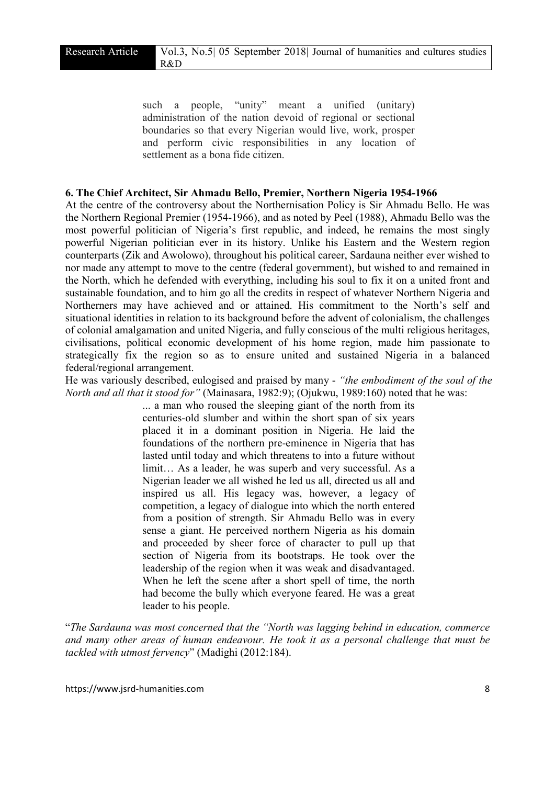such a people, "unity" meant a unified (unitary) administration of the nation devoid of regional or sectional boundaries so that every Nigerian would live, work, prosper and perform civic responsibilities in any location of settlement as a bona fide citizen.

#### 6. The Chief Architect, Sir Ahmadu Bello, Premier, Northern Nigeria 1954-1966

At the centre of the controversy about the Northernisation Policy is Sir Ahmadu Bello. He was the Northern Regional Premier (1954-1966), and as noted by Peel (1988), Ahmadu Bello was the most powerful politician of Nigeria's first republic, and indeed, he remains the most singly powerful Nigerian politician ever in its history. Unlike his Eastern and the Western region counterparts (Zik and Awolowo), throughout his political career, Sardauna neither ever wished to nor made any attempt to move to the centre (federal government), but wished to and remained in the North, which he defended with everything, including his soul to fix it on a united front and sustainable foundation, and to him go all the credits in respect of whatever Northern Nigeria and Northerners may have achieved and or attained. His commitment to the North's self and situational identities in relation to its background before the advent of colonialism, the challenges of colonial amalgamation and united Nigeria, and fully conscious of the multi religious heritages, civilisations, political economic development of his home region, made him passionate to strategically fix the region so as to ensure united and sustained Nigeria in a balanced federal/regional arrangement.

He was variously described, eulogised and praised by many - *"the embodiment of the soul of the North and all that it stood for"* (Mainasara, 1982:9); (Ojukwu, 1989:160) noted that he was:

> ... a man who roused the sleeping giant of the north from its centuries-old slumber and within the short span of six years placed it in a dominant position in Nigeria. He laid the foundations of the northern pre-eminence in Nigeria that has lasted until today and which threatens to into a future without limit… As a leader, he was superb and very successful. As a Nigerian leader we all wished he led us all, directed us all and inspired us all. His legacy was, however, a legacy of competition, a legacy of dialogue into which the north entered from a position of strength. Sir Ahmadu Bello was in every sense a giant. He perceived northern Nigeria as his domain and proceeded by sheer force of character to pull up that section of Nigeria from its bootstraps. He took over the leadership of the region when it was weak and disadvantaged. When he left the scene after a short spell of time, the north had become the bully which everyone feared. He was a great leader to his people.

"*The Sardauna was most concerned that the "North was lagging behind in education, commerce and many other areas of human endeavour. He took it as a personal challenge that must be tackled with utmost fervency*" (Madighi (2012:184).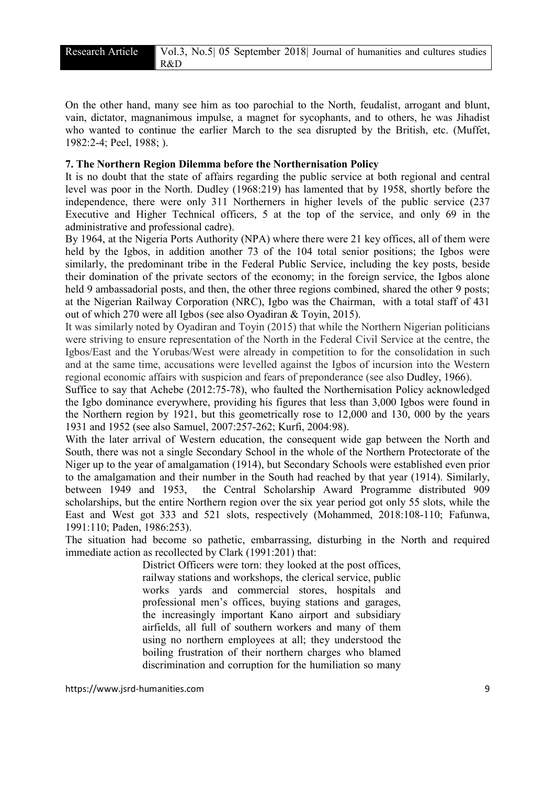On the other hand, many see him as too parochial to the North, feudalist, arrogant and blunt, vain, dictator, magnanimous impulse, a magnet for sycophants, and to others, he was Jihadist who wanted to continue the earlier March to the sea disrupted by the British, etc. (Muffet, 1982:2-4; Peel, 1988; ).

# 7. The Northern Region Dilemma before the Northernisation Policy

It is no doubt that the state of affairs regarding the public service at both regional and central level was poor in the North. Dudley (1968:219) has lamented that by 1958, shortly before the independence, there were only 311 Northerners in higher levels of the public service (237 Executive and Higher Technical officers, 5 at the top of the service, and only 69 in the administrative and professional cadre).

By 1964, at the Nigeria Ports Authority (NPA) where there were 21 key offices, all of them were held by the Igbos, in addition another 73 of the 104 total senior positions; the Igbos were similarly, the predominant tribe in the Federal Public Service, including the key posts, beside their domination of the private sectors of the economy; in the foreign service, the Igbos alone held 9 ambassadorial posts, and then, the other three regions combined, shared the other 9 posts; at the Nigerian Railway Corporation (NRC), Igbo was the Chairman, with a total staff of 431 out of which 270 were all Igbos (see also Oyadiran & Toyin, 2015).

It was similarly noted by Oyadiran and Toyin (2015) that while the Northern Nigerian politicians were striving to ensure representation of the North in the Federal Civil Service at the centre, the Igbos/East and the Yorubas/West were already in competition to for the consolidation in such and at the same time, accusations were levelled against the Igbos of incursion into the Western regional economic affairs with suspicion and fears of preponderance (see also Dudley, 1966).

Suffice to say that Achebe (2012:75-78), who faulted the Northernisation Policy acknowledged the Igbo dominance everywhere, providing his figures that less than 3,000 Igbos were found in the Northern region by 1921, but this geometrically rose to 12,000 and 130, 000 by the years 1931 and 1952 (see also Samuel, 2007:257-262; Kurfi, 2004:98).

With the later arrival of Western education, the consequent wide gap between the North and South, there was not a single Secondary School in the whole of the Northern Protectorate of the Niger up to the year of amalgamation (1914), but Secondary Schools were established even prior to the amalgamation and their number in the South had reached by that year (1914). Similarly, between 1949 and 1953, the Central Scholarship Award Programme distributed 909 scholarships, but the entire Northern region over the six year period got only 55 slots, while the East and West got 333 and 521 slots, respectively (Mohammed, 2018:108-110; Fafunwa, 1991:110; Paden, 1986:253).

The situation had become so pathetic, embarrassing, disturbing in the North and required immediate action as recollected by Clark (1991:201) that:

> District Officers were torn: they looked at the post offices, railway stations and workshops, the clerical service, public works yards and commercial stores, hospitals and professional men's offices, buying stations and garages, the increasingly important Kano airport and subsidiary airfields, all full of southern workers and many of them using no northern employees at all; they understood the boiling frustration of their northern charges who blamed discrimination and corruption for the humiliation so many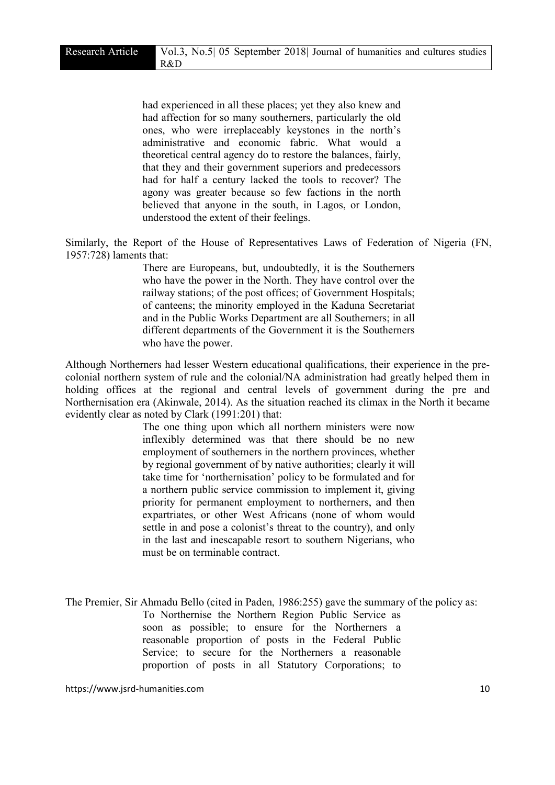had experienced in all these places; yet they also knew and had affection for so many southerners, particularly the old ones, who were irreplaceably keystones in the north's administrative and economic fabric. What would a theoretical central agency do to restore the balances, fairly, that they and their government superiors and predecessors had for half a century lacked the tools to recover? The agony was greater because so few factions in the north believed that anyone in the south, in Lagos, or London, understood the extent of their feelings.

Similarly, the Report of the House of Representatives Laws of Federation of Nigeria (FN, 1957:728) laments that:

> There are Europeans, but, undoubtedly, it is the Southerners who have the power in the North. They have control over the railway stations; of the post offices; of Government Hospitals; of canteens; the minority employed in the Kaduna Secretariat and in the Public Works Department are all Southerners; in all different departments of the Government it is the Southerners who have the power.

Although Northerners had lesser Western educational qualifications, their experience in the precolonial northern system of rule and the colonial/NA administration had greatly helped them in holding offices at the regional and central levels of government during the pre and Northernisation era (Akinwale, 2014). As the situation reached its climax in the North it became evidently clear as noted by Clark (1991:201) that:

> The one thing upon which all northern ministers were now inflexibly determined was that there should be no new employment of southerners in the northern provinces, whether by regional government of by native authorities; clearly it will take time for 'northernisation' policy to be formulated and for a northern public service commission to implement it, giving priority for permanent employment to northerners, and then expartriates, or other West Africans (none of whom would settle in and pose a colonist's threat to the country), and only in the last and inescapable resort to southern Nigerians, who must be on terminable contract.

The Premier, Sir Ahmadu Bello (cited in Paden, 1986:255) gave the summary of the policy as: To Northernise the Northern Region Public Service as soon as possible; to ensure for the Northerners a reasonable proportion of posts in the Federal Public Service; to secure for the Northerners a reasonable proportion of posts in all Statutory Corporations; to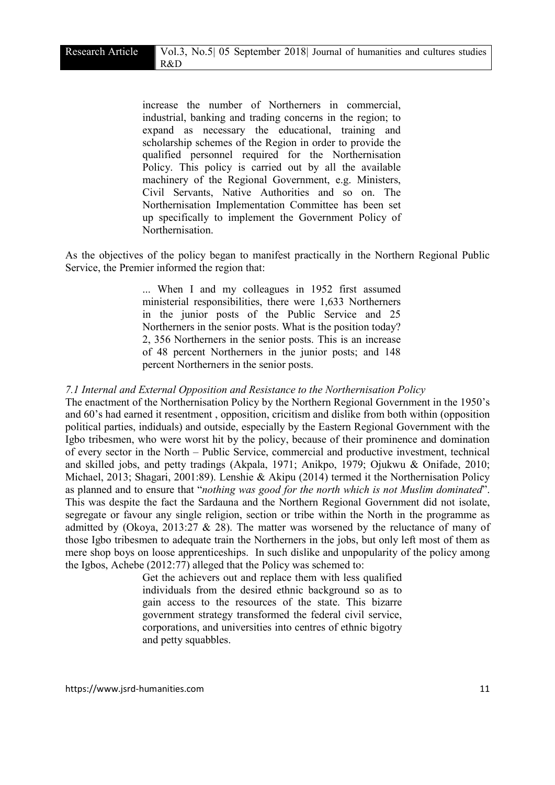increase the number of Northerners in commercial, industrial, banking and trading concerns in the region; to expand as necessary the educational, training and scholarship schemes of the Region in order to provide the qualified personnel required for the Northernisation Policy. This policy is carried out by all the available machinery of the Regional Government, e.g. Ministers, Civil Servants, Native Authorities and so on. The Northernisation Implementation Committee has been set up specifically to implement the Government Policy of Northernisation.

As the objectives of the policy began to manifest practically in the Northern Regional Public Service, the Premier informed the region that:

> ... When I and my colleagues in 1952 first assumed ministerial responsibilities, there were 1,633 Northerners in the junior posts of the Public Service and 25 Northerners in the senior posts. What is the position today? 2, 356 Northerners in the senior posts. This is an increase of 48 percent Northerners in the junior posts; and 148 percent Northerners in the senior posts.

#### *7.1 Internal and External Opposition and Resistance to the Northernisation Policy*

The enactment of the Northernisation Policy by the Northern Regional Government in the 1950's and 60's had earned it resentment , opposition, cricitism and dislike from both within (opposition political parties, indiduals) and outside, especially by the Eastern Regional Government with the Igbo tribesmen, who were worst hit by the policy, because of their prominence and domination of every sector in the North – Public Service, commercial and productive investment, technical and skilled jobs, and petty tradings (Akpala, 1971; Anikpo, 1979; Ojukwu & Onifade, 2010; Michael, 2013; Shagari, 2001:89). Lenshie & Akipu (2014) termed it the Northernisation Policy as planned and to ensure that "*nothing was good for the north which is not Muslim dominated*". This was despite the fact the Sardauna and the Northern Regional Government did not isolate, segregate or favour any single religion, section or tribe within the North in the programme as admitted by (Okoya, 2013:27  $\&$  28). The matter was worsened by the reluctance of many of those Igbo tribesmen to adequate train the Northerners in the jobs, but only left most of them as mere shop boys on loose apprenticeships. In such dislike and unpopularity of the policy among the Igbos, Achebe (2012:77) alleged that the Policy was schemed to:

> Get the achievers out and replace them with less qualified individuals from the desired ethnic background so as to gain access to the resources of the state. This bizarre government strategy transformed the federal civil service, corporations, and universities into centres of ethnic bigotry and petty squabbles.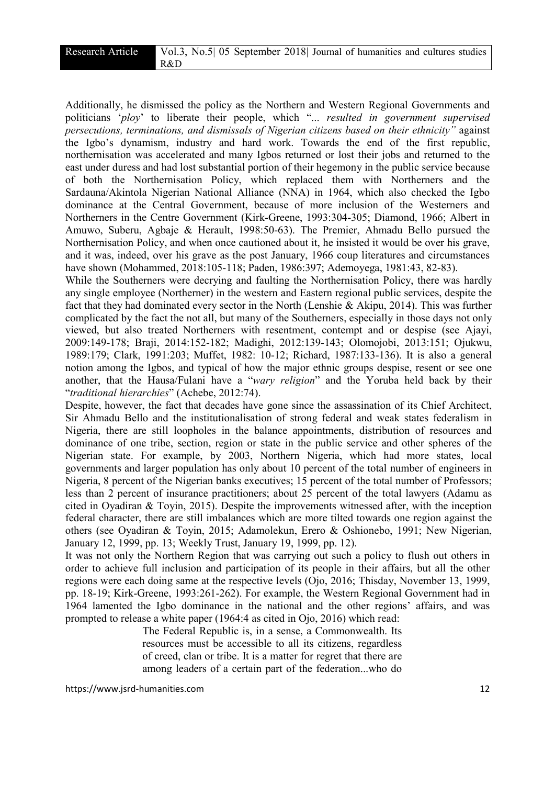Additionally, he dismissed the policy as the Northern and Western Regional Governments and politicians '*ploy*' to liberate their people, which "... *resulted in government supervised persecutions, terminations, and dismissals of Nigerian citizens based on their ethnicity"* against the Igbo's dynamism, industry and hard work. Towards the end of the first republic, northernisation was accelerated and many Igbos returned or lost their jobs and returned to the east under duress and had lost substantial portion of their hegemony in the public service because of both the Northernisation Policy, which replaced them with Northerners and the Sardauna/Akintola Nigerian National Alliance (NNA) in 1964, which also checked the Igbo dominance at the Central Government, because of more inclusion of the Westerners and Northerners in the Centre Government (Kirk-Greene, 1993:304-305; Diamond, 1966; Albert in Amuwo, Suberu, Agbaje & Herault, 1998:50-63). The Premier, Ahmadu Bello pursued the Northernisation Policy, and when once cautioned about it, he insisted it would be over his grave, and it was, indeed, over his grave as the post January, 1966 coup literatures and circumstances have shown (Mohammed, 2018:105-118; Paden, 1986:397; Ademoyega, 1981:43, 82-83).

While the Southerners were decrying and faulting the Northernisation Policy, there was hardly any single employee (Northerner) in the western and Eastern regional public services, despite the fact that they had dominated every sector in the North (Lenshie & Akipu, 2014). This was further complicated by the fact the not all, but many of the Southerners, especially in those days not only viewed, but also treated Northerners with resentment, contempt and or despise (see Ajayi, 2009:149-178; Braji, 2014:152-182; Madighi, 2012:139-143; Olomojobi, 2013:151; Ojukwu, 1989:179; Clark, 1991:203; Muffet, 1982: 10-12; Richard, 1987:133-136). It is also a general notion among the Igbos, and typical of how the major ethnic groups despise, resent or see one another, that the Hausa/Fulani have a "*wary religion*" and the Yoruba held back by their "*traditional hierarchies*" (Achebe, 2012:74).

Despite, however, the fact that decades have gone since the assassination of its Chief Architect, Sir Ahmadu Bello and the institutionalisation of strong federal and weak states federalism in Nigeria, there are still loopholes in the balance appointments, distribution of resources and dominance of one tribe, section, region or state in the public service and other spheres of the Nigerian state. For example, by 2003, Northern Nigeria, which had more states, local governments and larger population has only about 10 percent of the total number of engineers in Nigeria, 8 percent of the Nigerian banks executives; 15 percent of the total number of Professors; less than 2 percent of insurance practitioners; about 25 percent of the total lawyers (Adamu as cited in Oyadiran & Toyin, 2015). Despite the improvements witnessed after, with the inception federal character, there are still imbalances which are more tilted towards one region against the others (see Oyadiran & Toyin, 2015; Adamolekun, Erero & Oshionebo, 1991; New Nigerian, January 12, 1999, pp. 13; Weekly Trust, January 19, 1999, pp. 12).

It was not only the Northern Region that was carrying out such a policy to flush out others in order to achieve full inclusion and participation of its people in their affairs, but all the other regions were each doing same at the respective levels (Ojo, 2016; Thisday, November 13, 1999, pp. 18-19; Kirk-Greene, 1993:261-262). For example, the Western Regional Government had in 1964 lamented the Igbo dominance in the national and the other regions' affairs, and was prompted to release a white paper (1964:4 as cited in Ojo, 2016) which read:

> The Federal Republic is, in a sense, a Commonwealth. Its resources must be accessible to all its citizens, regardless of creed, clan or tribe. It is a matter for regret that there are among leaders of a certain part of the federation...who do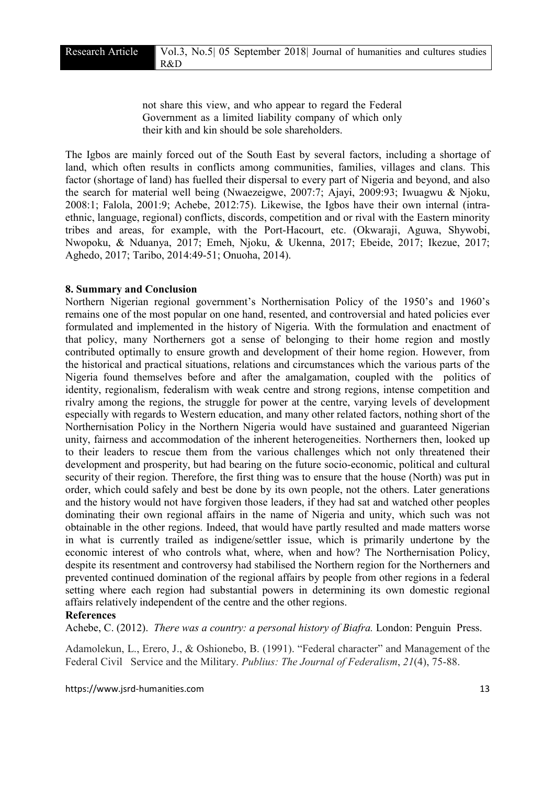not share this view, and who appear to regard the Federal Government as a limited liability company of which only their kith and kin should be sole shareholders.

The Igbos are mainly forced out of the South East by several factors, including a shortage of land, which often results in conflicts among communities, families, villages and clans. This factor (shortage of land) has fuelled their dispersal to every part of Nigeria and beyond, and also the search for material well being (Nwaezeigwe, 2007:7; Ajayi, 2009:93; Iwuagwu & Njoku, 2008:1; Falola, 2001:9; Achebe, 2012:75). Likewise, the Igbos have their own internal (intraethnic, language, regional) conflicts, discords, competition and or rival with the Eastern minority tribes and areas, for example, with the Port-Hacourt, etc. (Okwaraji, Aguwa, Shywobi, Nwopoku, & Nduanya, 2017; Emeh, Njoku, & Ukenna, 2017; Ebeide, 2017; Ikezue, 2017; Aghedo, 2017; Taribo, 2014:49-51; Onuoha, 2014).

# 8. Summary and Conclusion

Northern Nigerian regional government's Northernisation Policy of the 1950's and 1960's remains one of the most popular on one hand, resented, and controversial and hated policies ever formulated and implemented in the history of Nigeria. With the formulation and enactment of that policy, many Northerners got a sense of belonging to their home region and mostly contributed optimally to ensure growth and development of their home region. However, from the historical and practical situations, relations and circumstances which the various parts of the Nigeria found themselves before and after the amalgamation, coupled with the politics of identity, regionalism, federalism with weak centre and strong regions, intense competition and rivalry among the regions, the struggle for power at the centre, varying levels of development especially with regards to Western education, and many other related factors, nothing short of the Northernisation Policy in the Northern Nigeria would have sustained and guaranteed Nigerian unity, fairness and accommodation of the inherent heterogeneities. Northerners then, looked up to their leaders to rescue them from the various challenges which not only threatened their development and prosperity, but had bearing on the future socio-economic, political and cultural security of their region. Therefore, the first thing was to ensure that the house (North) was put in order, which could safely and best be done by its own people, not the others. Later generations and the history would not have forgiven those leaders, if they had sat and watched other peoples dominating their own regional affairs in the name of Nigeria and unity, which such was not obtainable in the other regions. Indeed, that would have partly resulted and made matters worse in what is currently trailed as indigene/settler issue, which is primarily undertone by the economic interest of who controls what, where, when and how? The Northernisation Policy, despite its resentment and controversy had stabilised the Northern region for the Northerners and prevented continued domination of the regional affairs by people from other regions in a federal setting where each region had substantial powers in determining its own domestic regional affairs relatively independent of the centre and the other regions.

## References

Achebe, C. (2012). *There was a country: a personal history of Biafra.* London: Penguin Press.

Adamolekun, L., Erero, J., & Oshionebo, B. (1991). "Federal character" and Management of the Federal Civil Service and the Military. *Publius: The Journal of Federalism*, *21*(4), 75-88.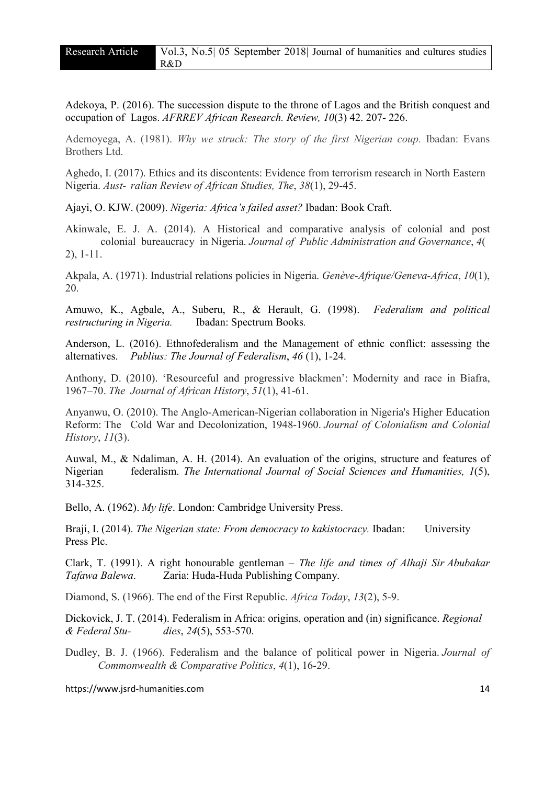Adekoya, P. (2016). The succession dispute to the throne of Lagos and the British conquest and occupation of Lagos. *AFRREV African Research. Review, 10*(3) 42. 207- 226.

Ademoyega, A. (1981). *Why we struck: The story of the first Nigerian coup.* Ibadan: Evans Brothers Ltd.

Aghedo, I. (2017). Ethics and its discontents: Evidence from terrorism research in North Eastern Nigeria. *Aust- ralian Review of African Studies, The*, *38*(1), 29-45.

Ajayi, O. KJW. (2009). *Nigeria: Africa's failed asset?* Ibadan: Book Craft.

Akinwale, E. J. A. (2014). A Historical and comparative analysis of colonial and post colonial bureaucracy in Nigeria. *Journal of Public Administration and Governance*, *4*( 2), 1-11.

Akpala, A. (1971). Industrial relations policies in Nigeria. *Genève-Afrique/Geneva-Africa*, *10*(1), 20.

Amuwo, K., Agbale, A., Suberu, R., & Herault, G. (1998). *Federalism and political restructuring in Nigeria.* Ibadan: Spectrum Books*.* 

Anderson, L. (2016). Ethnofederalism and the Management of ethnic conflict: assessing the alternatives. *Publius: The Journal of Federalism*, *46* (1), 1-24.

Anthony, D. (2010). 'Resourceful and progressive blackmen': Modernity and race in Biafra, 1967–70. *The Journal of African History*, *51*(1), 41-61.

Anyanwu, O. (2010). The Anglo-American-Nigerian collaboration in Nigeria's Higher Education Reform: The Cold War and Decolonization, 1948-1960. *Journal of Colonialism and Colonial History*, *11*(3).

Auwal, M., & Ndaliman, A. H. (2014). An evaluation of the origins, structure and features of Nigerian federalism. *The International Journal of Social Sciences and Humanities, 1*(5), 314-325.

Bello, A. (1962). *My life*. London: Cambridge University Press.

Braji, I. (2014). *The Nigerian state: From democracy to kakistocracy.* Ibadan: University Press Plc.

Clark, T. (1991). A right honourable gentleman – *The life and times of Alhaji Sir Abubakar Tafawa Balewa*. Zaria: Huda-Huda Publishing Company.

Diamond, S. (1966). The end of the First Republic. *Africa Today*, *13*(2), 5-9.

Dickovick, J. T. (2014). Federalism in Africa: origins, operation and (in) significance. *Regional & Federal Stu- dies*, *24*(5), 553-570.

Dudley, B. J. (1966). Federalism and the balance of political power in Nigeria. *Journal of Commonwealth & Comparative Politics*, *4*(1), 16-29.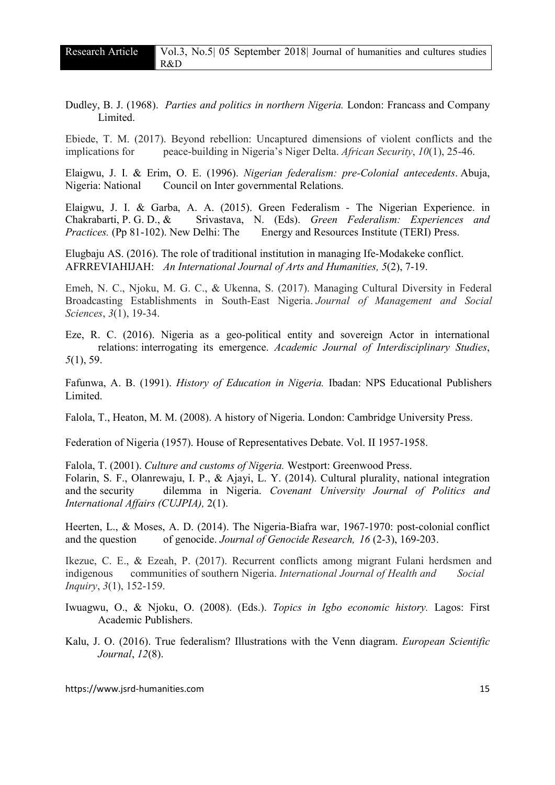Dudley, B. J. (1968). *Parties and politics in northern Nigeria.* London: Francass and Company Limited.

Ebiede, T. M. (2017). Beyond rebellion: Uncaptured dimensions of violent conflicts and the implications for peace-building in Nigeria's Niger Delta. *African Security*, *10*(1), 25-46.

Elaigwu, J. I. & Erim, O. E. (1996). *Nigerian federalism: pre-Colonial antecedents*. Abuja, Nigeria: National Council on Inter governmental Relations.

Elaigwu, J. I. & Garba, A. A. (2015). Green Federalism - The Nigerian Experience. in Chakrabarti, P. G. D., & Srivastava, N. (Eds). *Green Federalism: Experiences and Practices.* (Pp 81-102). New Delhi: The Energy and Resources Institute (TERI) Press.

Elugbaju AS. (2016). The role of traditional institution in managing Ife-Modakeke conflict. AFRREVIAHIJAH: *An International Journal of Arts and Humanities, 5*(2), 7-19.

Emeh, N. C., Njoku, M. G. C., & Ukenna, S. (2017). Managing Cultural Diversity in Federal Broadcasting Establishments in South-East Nigeria. *Journal of Management and Social Sciences*, *3*(1), 19-34.

Eze, R. C. (2016). Nigeria as a geo-political entity and sovereign Actor in international relations: interrogating its emergence. *Academic Journal of Interdisciplinary Studies*, *5*(1), 59.

Fafunwa, A. B. (1991). *History of Education in Nigeria.* Ibadan: NPS Educational Publishers **Limited** 

Falola, T., Heaton, M. M. (2008). A history of Nigeria. London: Cambridge University Press.

Federation of Nigeria (1957). House of Representatives Debate. Vol. II 1957-1958.

Falola, T. (2001). *Culture and customs of Nigeria.* Westport: Greenwood Press. Folarin, S. F., Olanrewaju, I. P., & Ajayi, L. Y. (2014). Cultural plurality, national integration and the security dilemma in Nigeria. *Covenant University Journal of Politics and International Affairs (CUJPIA),* 2(1).

Heerten, L., & Moses, A. D. (2014). The Nigeria-Biafra war, 1967-1970: post-colonial conflict and the question of genocide. *Journal of Genocide Research, 16* (2-3), 169-203.

Ikezue, C. E., & Ezeah, P. (2017). Recurrent conflicts among migrant Fulani herdsmen and indigenous communities of southern Nigeria. *International Journal of Health and Social Inquiry*, *3*(1), 152-159.

Iwuagwu, O., & Njoku, O. (2008). (Eds.). *Topics in Igbo economic history.* Lagos: First Academic Publishers.

Kalu, J. O. (2016). True federalism? Illustrations with the Venn diagram. *European Scientific Journal*, *12*(8).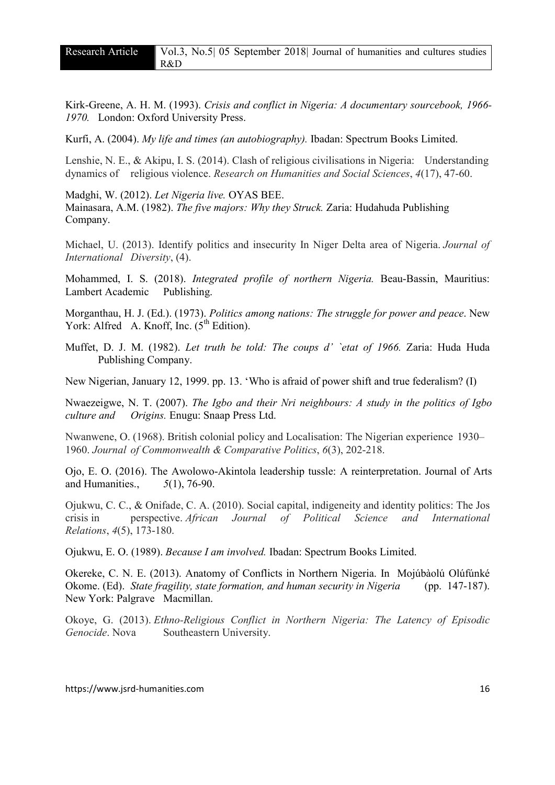Kirk-Greene, A. H. M. (1993). *Crisis and conflict in Nigeria: A documentary sourcebook, 1966- 1970.* London: Oxford University Press.

Kurfi, A. (2004). *My life and times (an autobiography).* Ibadan: Spectrum Books Limited.

Lenshie, N. E., & Akipu, I. S. (2014). Clash of religious civilisations in Nigeria: Understanding dynamics of religious violence. *Research on Humanities and Social Sciences*, *4*(17), 47-60.

Madghi, W. (2012). *Let Nigeria live.* OYAS BEE. Mainasara, A.M. (1982). *The five majors: Why they Struck.* Zaria: Hudahuda Publishing Company.

Michael, U. (2013). Identify politics and insecurity In Niger Delta area of Nigeria. *Journal of International Diversity*, (4).

Mohammed, I. S. (2018). *Integrated profile of northern Nigeria.* Beau-Bassin, Mauritius: Lambert Academic Publishing.

Morganthau, H. J. (Ed.). (1973). *Politics among nations: The struggle for power and peace*. New York: Alfred A. Knoff, Inc.  $(5^{th}$  Edition).

Muffet, D. J. M. (1982). *Let truth be told: The coups d' `etat of 1966.* Zaria: Huda Huda Publishing Company.

New Nigerian, January 12, 1999. pp. 13. 'Who is afraid of power shift and true federalism? (I)

Nwaezeigwe, N. T. (2007). *The Igbo and their Nri neighbours: A study in the politics of Igbo culture and Origins.* Enugu: Snaap Press Ltd.

Nwanwene, O. (1968). British colonial policy and Localisation: The Nigerian experience 1930– 1960. *Journal of Commonwealth & Comparative Politics*, *6*(3), 202-218.

Ojo, E. O. (2016). The Awolowo-Akintola leadership tussle: A reinterpretation. Journal of Arts and Humanities., *5*(1), 76-90.

Ojukwu, C. C., & Onifade, C. A. (2010). Social capital, indigeneity and identity politics: The Jos crisis in perspective. *African Journal of Political Science and International Relations*, *4*(5), 173-180.

Ojukwu, E. O. (1989). *Because I am involved.* Ibadan: Spectrum Books Limited.

Okereke, C. N. E. (2013). Anatomy of Conflicts in Northern Nigeria. In Mojúbàolú Olúfúnké Okome. (Ed). *State fragility, state formation, and human security in Nigeria* (pp. 147-187). New York: Palgrave Macmillan.

Okoye, G. (2013). *Ethno-Religious Conflict in Northern Nigeria: The Latency of Episodic Genocide*. Nova Southeastern University.